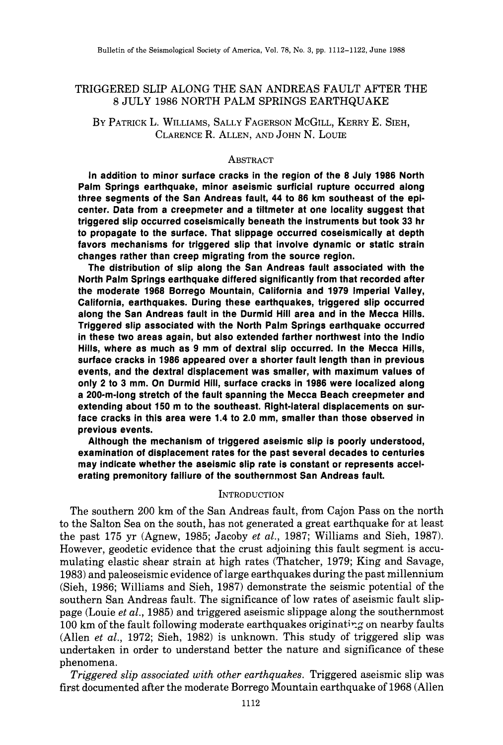# TRIGGERED SLIP ALONG THE SAN ANDREAS FAULT AFTER THE 8 JULY 1986 NORTH PALM SPRINGS EARTHQUAKE

BY PATRICK L. WILLIAMS, SALLY FAGERSON MCGILL, KERRY E. SIEH, CLARENCE R. ALLEN, AND JOHN N, LOUIE

### **ABSTRACT**

**In addition to minor surface cracks in the region of the 8 July 1986 North Palm Springs earthquake, minor aseismic surficial rupture occurred along three segments of the San Andreas fault, 44 to 86 km southeast of the epicenter. Data from a creepmeter and a tiltmeter at one locality suggest that triggered slip occurred coseismically beneath the instruments but took 33 hr to propagate to the surface. That slippage occurred coseismically at depth favors mechanisms for triggered slip that involve dynamic or static strain changes rather than creep migrating from the source region.** 

**The distribution of slip along the San Andreas fault associated with the North Palm Springs earthquake differed significantly from that recorded after the moderate 1968 Borrego Mountain, California and 1979 Imperial Valley, California, earthquakes. During these earthquakes, triggered slip occurred along the San Andreas fault in the Durmid Hill area and in the Mecca Hills. Triggered slip associated with the North Palm Springs earthquake occurred in these two areas again, but also extended farther northwest into the Indio Hills, where as much as 9 mm of dextral slip occurred. In the Mecca Hills, surface cracks in 1986 appeared over a shorter fault length than in previous events, and the dextral displacement was smaller, with maximum values of only 2 to 3 mm. On Durmid Hill, surface cracks in 1986 were localized along a 2O0-m-long stretch of the fault spanning the Mecca Beach creepmeter and extending about 150 m to the southeast. Right-lateral displacements on surface cracks in this area were 1.4 to 2.0 mm, smaller than those observed in previous events.** 

**Although the mechanism of triggered aseismic slip is poorly understood, examination of displacement rates for the past several decades to centuries may indicate whether the aseismic slip rate is constant or represents accelerating premonitory failiure of the southernmost San Andreas fault.** 

### **INTRODUCTION**

The southern 200 km of the San Andreas fault, from Cajon Pass on the north to the Salton Sea on the south, has not generated a great earthquake for at least the past 175 yr (Agnew, 1985; Jacoby *et al.,* 1987; Williams and Sieh, 1987). However, geodetic evidence that the crust adjoining this fault segment is accumulating elastic shear strain at high rates (Thatcher, 1979; King and Savage, 1983) and paleoseismic evidence of large earthquakes during the past millennium (Sieh, 1986; Williams and Sieh, 1987) demonstrate the seismic potential of the southern San Andreas fault. The significance of low rates of aseismic fault slippage (Louie *et al.,* 1985) and triggered aseismic slippage along the southernmost 100 km of the fault following moderate earthquakes originating on nearby faults (Allen *et al.,* 1972; Sieh, 1982) is unknown. This study of triggered slip was undertaken in order to understand better the nature and significance of these phenomena.

*Triggered slip associated with other earthquakes.* Triggered aseismic slip was first documented after the moderate Borrego Mountain earthquake of 1968 (Allen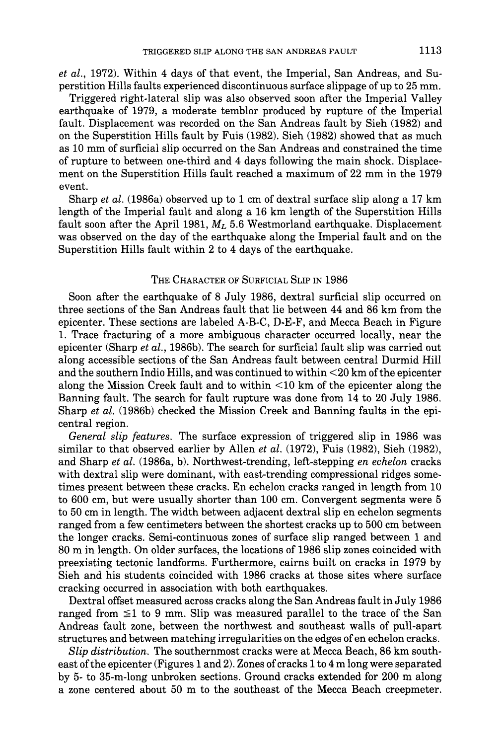*et al.,* 1972). Within 4 days of that event, the Imperial, San Andreas, and Superstition Hills faults experienced discontinuous surface slippage of up to 25 mm.

Triggered right-lateral slip was also observed soon after the Imperial Valley earthquake of 1979, a moderate temblor produced by rupture of the Imperial fault. Displacement was recorded on the San Andreas fault by Sieh (1982) and on the Superstition Hills fault by Fuis (1982). Sieh (1982) showed that as much as 10 mm of surficial slip occurred on the San Andreas and constrained the time of rupture to between one-third and 4 days following the main shock. Displacement on the Superstition Hills fault reached a maximum of 22 mm in the 1979 event.

Sharp *et al.* (1986a) observed up to 1 cm of dextral surface slip along a 17 km length of the Imperial fault and along a 16 km length of the Superstition Hills fault soon after the April 1981, *ML* 5.6 Westmorland earthquake. Displacement was observed on the day of the earthquake along the Imperial fault and on the Superstition Hills fault within 2 to 4 days of the earthquake.

## THE CHARACTER OF SURFICIAL SLIP IN 1986

Soon after the earthquake of 8 July 1986, dextral surficial slip occurred on three sections of the San Andreas fault that lie between 44 and 86 km from the epicenter. These sections are labeled A-B-C, D-E-F, and Mecca Beach in Figure 1. Trace fracturing of a more ambiguous character occurred locally, near the epicenter (Sharp *et al.,* 1986b). The search for surficial fault slip was carried out along accessible sections of the San Andreas fault between central Durmid Hill and the southern Indio Hills, and was continued to within <20 km of the epicenter along the Mission Creek fault and to within  $\leq 10$  km of the epicenter along the Banning fault. The search for fault rupture was done from 14 to 20 July 1986. Sharp *et al.* (1986b) checked the Mission Creek and Banning faults in the epicentral region.

*General slip features.* The surface expression of triggered slip in 1986 was similar to that observed earlier by Allen *et al.* (1972), Fuis (1982), Sieh (1982), and Sharp *et al.* (1986a, b). Northwest-trending, left-stepping *en echelon* cracks with dextral slip were dominant, with east-trending compressional ridges sometimes present between these cracks. En echelon cracks ranged in length from 10 to 600 cm, but were usually shorter than 100 cm. Convergent segments were 5 to 50 cm in length. The width between adjacent dextral slip en echelon segments ranged from a few centimeters between the shortest cracks up to 500 cm between the longer cracks. Semi-continuous zones of surface slip ranged between 1 and 80 m in length. On older surfaces, the locations of 1986 slip zones coincided with preexisting tectonic landforms. Furthermore, cairns built on cracks in 1979 by Sieh and his students coincided with 1986 cracks at those sites where surface cracking occurred in association with both earthquakes.

Dextral offset measured across cracks along the San Andreas fault in July 1986 ranged from  $\leq 1$  to 9 mm. Slip was measured parallel to the trace of the San Andreas fault zone, between the northwest and southeast walls of pull-apart structures and between matching irregularities on the edges of en echelon cracks.

*Slip distribution.* The southernmost cracks were at Mecca Beach, 86 km southeast of the epicenter (Figures 1 and 2). Zones of cracks 1 to 4 m long were separated by 5- to 35-m-long unbroken sections. Ground cracks extended for 200 m along a zone centered about 50 m to the southeast of the Mecca Beach creepmeter.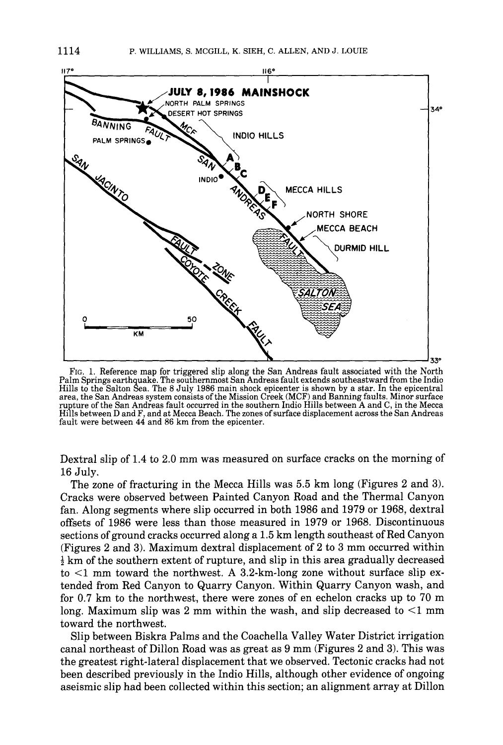

FIG. 1. Reference map for triggered slip along the San Andreas fault associated with the North Palm Springs earthquake. The southernmost San Andreas fault extends southeastward from the Indio Hills to the Salton Sea. The 8 July 1986 main shock epicenter is shown by a star. In the epicentral area, the San Andreas system consists of the Mission Creek (MCF) and Banning faults. Minor surface rupture of the San Andreas fault occurred in the southern Indio Hills between A and C, in the Mecca Hills between D and F, and at Mecca Beach. The zones of surface displacement across the San Andreas fault were between 44 and 86 km from the epicenter.

Dextral slip of 1.4 to 2.0 mm was measured on surface cracks on the morning of 16 July.

The zone of fracturing in the Mecca Hills was 5.5 km long (Figures 2 and 3). Cracks were observed between Painted Canyon Road and the Thermal Canyon fan. Along segments where slip occurred in both 1986 and 1979 or 1968, dextral offsets of 1986 were less than those measured in 1979 or 1968. Discontinuous sections of ground cracks occurred along a 1.5 km length southeast of Red Canyon (Figures 2 and 3). Maximum dextral displacement of 2 to 3 mm occurred within  $\frac{1}{2}$  km of the southern extent of rupture, and slip in this area gradually decreased to  $\leq$ 1 mm toward the northwest. A 3.2-km-long zone without surface slip extended from Red Canyon to Quarry Canyon. Within Quarry Canyon wash, and for 0.7 km to the northwest, there were zones of en echelon cracks up to 70 m long. Maximum slip was 2 mm within the wash, and slip decreased to  $\leq 1$  mm toward the northwest.

Slip between Biskra Palms and the Coachella Valley Water District irrigation canal northeast of Dillon Road was as great as 9 mm (Figures 2 and 3). This was the greatest right-lateral displacement that we observed. Tectonic cracks had not been described previously in the Indio Hills, although other evidence of ongoing aseismic slip had been collected within this section; an alignment array at Dillon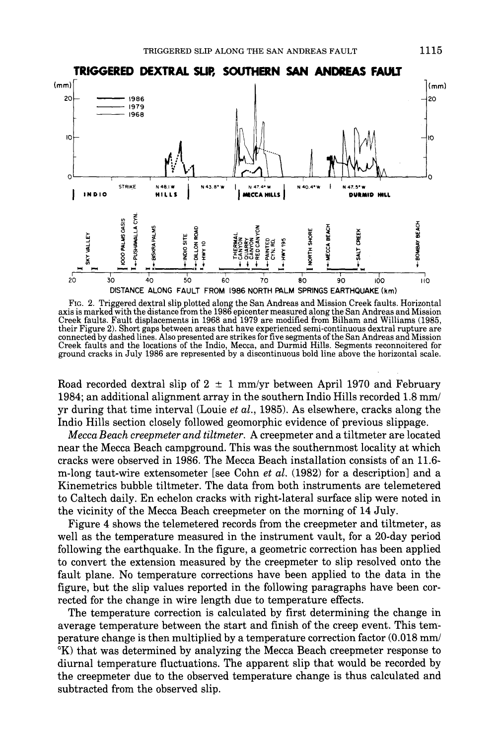

FIc. 2. Triggered dextral slip plotted along the San Andreas and Mission Creek faults. Horizontal axis is marked with the distance from the 1986 epicenter measured along the San Andreas and Mission Creek faults. Fault displacements in 1968 and 1979 are modified from Bilham and Williams (1985, their Figure 2). Short gaps between areas that have experienced semi-continuous dextral rupture are connected by dashed lines. Also presented are strikes for five segments of the San Andreas and Mission Creek faults and the locations of the Indio, Mecca, and Durmid Hills. Segments reconnoitered for ground cracks in July 1986 are represented by a discontinuous bold line above the horizontal scale.

Road recorded dextral slip of  $2 \pm 1$  mm/yr between April 1970 and February 1984; an additional alignment array in the southern Indio Hills recorded 1.8 mm/ yr during that time interval (Louie *et al.,* 1985). As elsewhere, cracks along the Indio Hills section closely followed geomorphic evidence of previous slippage.

*Mecca Beach creepmeter and tiltmeter.* A creepmeter and a tiltmeter are located near the Mecca Beach campground. This was the southernmost locality at which cracks were observed in 1986. The Mecca Beach installation consists of an 11.6 m-long taut-wire extensometer [see Cohn *et al.* (1982) for a description] and a Kinemetrics bubble tiltmeter. The data from both instruments are telemetered to Caltech daily. En echelon cracks with right-lateral surface slip were noted in the vicinity of the Mecca Beach creepmeter on the morning of 14 July.

Figure 4 shows the telemetered records from the creepmeter and tiltmeter, as well as the temperature measured in the instrument vault, for a 20-day period following the earthquake. In the figure, a geometric correction has been applied to convert the extension measured by the creepmeter to slip resolved onto the fault plane. No temperature corrections have been applied to the data in the figure, but the slip values reported in the following paragraphs have been corrected for the change in wire length due to temperature effects.

The temperature correction is calculated by first determining the change in average temperature between the start and finish of the creep event. This temperature change is then multiplied by a temperature correction factor (0.018 mm/ °K) that was determined by analyzing the Mecca Beach creepmeter response to diurnal temperature fluctuations. The apparent slip that would be recorded by the creepmeter due to the observed temperature change is thus calculated and subtracted from the observed slip.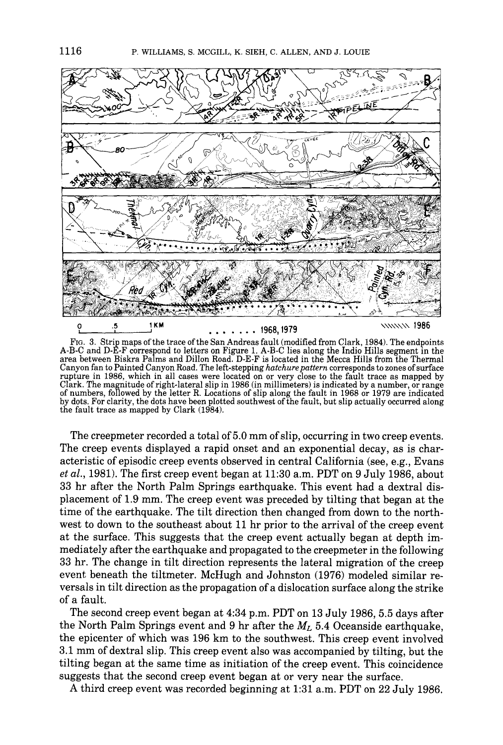

FIG. 3. Strip maps of the trace of the San Andreas fault (modified from Clark, 1984). The endpoints A-B-C and D-E-F correspond to letters on Figure 1. A-B-C lies along the Indio Hills segment in the area between Biskra Palms and Dillon Road. D-E-F is located in the Mecca Hills from the Thermal Canyon fan to Painted Canyon Road. The left-stepping *hatchurepattern* corresponds to zones of surface rupture in 1986, which in all cases were located on or very close to the fault trace as mapped by Clark. The magnitude of right-lateral slip in 1986 (in millimeters) is indicated by a number, or range of numbers, followed by the letter R. Locations of slip along the fault in 1968 or 1979 are indicated by dots. For clarity, the dots have been plotted southwest of the fault, but slip actually occurred along the fault trace as mapped by Clark (1984).

The creepmeter recorded a total of 5.0 mm of slip, occurring in two creep events. The creep events displayed a rapid onset and an exponential decay, as is characteristic of episodic creep events observed in central California (see, e.g., Evans *et al.,* 1981). The first creep event began at 11:30 a.m. PDT on 9 July 1986, about 33 hr after the North Palm Springs earthquake. This event had a dextral displacement of 1.9 mm. The creep event was preceded by tilting that began at the time of the earthquake. The tilt direction then changed from down to the northwest to down to the southeast about 11 hr prior to the arrival of the creep event at the surface. This suggests that the creep event actually began at depth immediately after the earthquake and propagated to the creepmeter in the following 33 hr. The change in tilt direction represents the lateral migration of the creep event beneath the tiltmeter. McHugh and Johnston (1976) modeled similar reversals in tilt direction as the propagation of a dislocation surface along the strike of a fault.

The second creep event began at 4:34 p.m. PDT on 13 July 1986, 5.5 days after the North Palm Springs event and 9 hr after the *ML* 5.40ceanside earthquake, the epicenter of which was 196 km to the southwest. This creep event involved 3.1 mm of dextral slip. This creep event also was accompanied by tilting, but the tilting began at the same time as initiation of the creep event. This coincidence suggests that the second creep event began at or very near the surface.

A third creep event was recorded beginning at 1:31 a.m. PDT on 22 July 1986.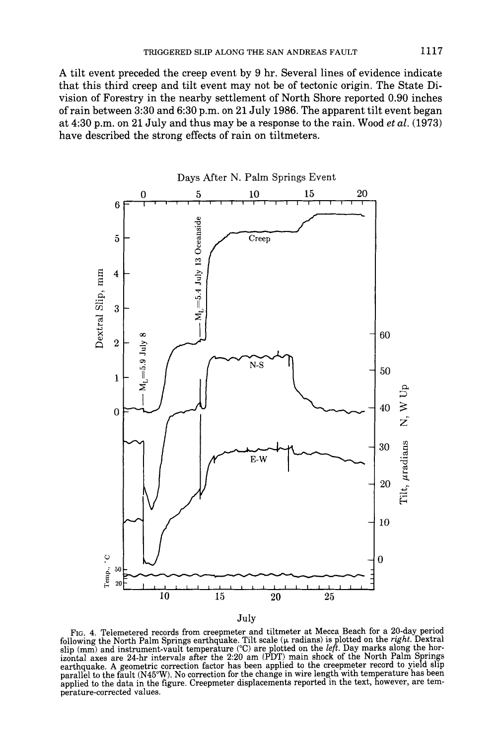A tilt event preceded the creep event by 9 hr. Several lines of evidence indicate that this third creep and tilt event may not be of tectonic origin. The State Division of Forestry in the nearby settlement of North Shore reported 0.90 inches of rain between 3:30 and 6:30 p.m. on 21 July 1986. The apparent tilt event began at 4:30 p.m. on 21 July and thus may be a response to the rain. Wood *et al.* (1973) have described the strong effects of rain on tiltmeters.



Fro. 4. Telemetered records from creepmeter and tiltmeter at Mecca Beach for a 20-day period following the North Palm Springs earthquake. Tilt scale ( $\mu$  radians) is plotted on the *right*. Dextral slip (mm) and instrument-vault temperature (°C) are plotted on the *left.* Day marks along the horizontal axes are 24-hr intervals after the 2:20 am (PDT) main shock of the North Palm Springs earthquake. A geometric correction factor has been applied to the creepmeter record to yield slip parallel to the fault (N45°W). No correction for the change in wire length with temperature has been applied to the data in the figure. Creepmeter displacements reported in the text, however, are temperature-corrected values.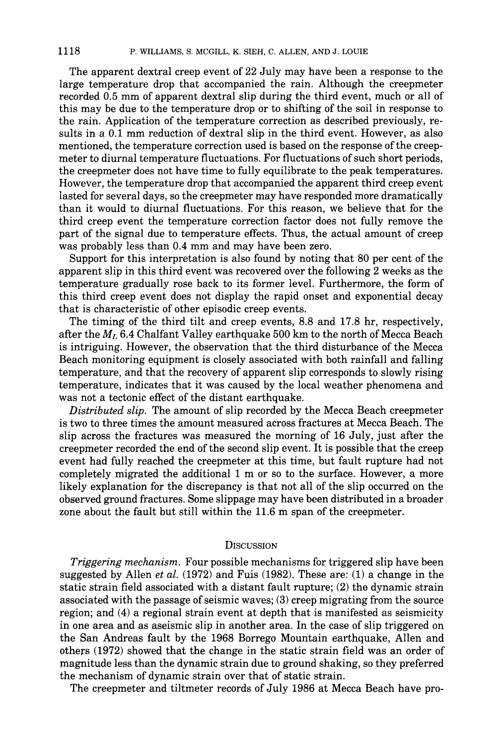The apparent dextral creep event of 22 July may have been a response to the large temperature drop that accompanied the rain. Although the creepmeter recorded 0.5 mm of apparent dextral slip during the third event, much or all of this may be due to the temperature drop or to shifting of the soil in response to the rain. Application of the temperature correction as described previously, results in a 0.1 mm reduction of dextral slip in the third event. However, as also mentioned, the temperature correction used is based on the response of the creepmeter to diurnal temperature fluctuations. For fluctuations of such short periods, the creepmeter does not have time to fully equilibrate to the peak temperatures. However, the temperature drop that accompanied the apparent third creep event lasted for several days, so the creepmeter may have responded more dramatically than it would to diurnal fluctuations. For this reason, we believe that for the third creep event the temperature correction factor does not fully remove the part of the signal due to temperature effects. Thus, the actual amount of creep was probably less than 0.4 mm and may have been zero.

Support for this interpretation is also found by noting that 80 per cent of the apparent slip in this third event was recovered over the following 2 weeks as the temperature gradually rose back to its former level. Furthermore, the form of this third creep event does not display the rapid onset and exponential decay that is characteristic of other episodic creep events.

The timing of the third tilt and creep events, 8.8 and 17.8 hr, respectively, after the  $M_L$  6.4 Chalfant Valley earthquake 500 km to the north of Mecca Beach is intriguing. However, the observation that the third disturbance of the Mecca Beach monitoring equipment is closely associated with both rainfall and falling temperature, and that the recovery of apparent slip corresponds to slowly rising temperature, indicates that it was caused by the local weather phenomena and was not a tectonic effect of the distant earthquake.

*Distributed slip.* The amount of slip recorded by the Mecca Beach creepmeter is two to three times the amount measured across fractures at Mecca Beach. The slip across the fractures was measured the morning of 16 July, just after the creepmeter recorded the end of the second slip event. It is possible that the creep event had fully reached the creepmeter at this time, but fault rupture had not completely migrated the additional 1 m or so to the surface. However, a more likely explanation for the discrepancy is that not all of the slip occurred on the observed ground fractures. Some slippage may have been distributed in a broader zone about the fault but still within the 11.6 m span of the creepmeter.

# **DISCUSSION**

*Triggering mechanism.* Four possible mechanisms for triggered slip have been suggested by Allen *et al.* (1972) and Fuis (1982). These are: (1) a change in the static strain field associated with a distant fault rupture; (2) the dynamic strain associated with the passage of seismic waves; (3) creep migrating from the source region; and (4) a regional strain event at depth that is manifested as seismicity in one area and as aseismic slip in another area. In the case of slip triggered on the San Andreas fault by the 1968 Borrego Mountain earthquake, Allen and others (1972) showed that the change in the static strain field was an order of magnitude less than the dynamic strain due to ground shaking, so they preferred the mechanism of dynamic strain over that of static strain.

The creepmeter and tiltmeter records of July 1986 at Mecca Beach have pro-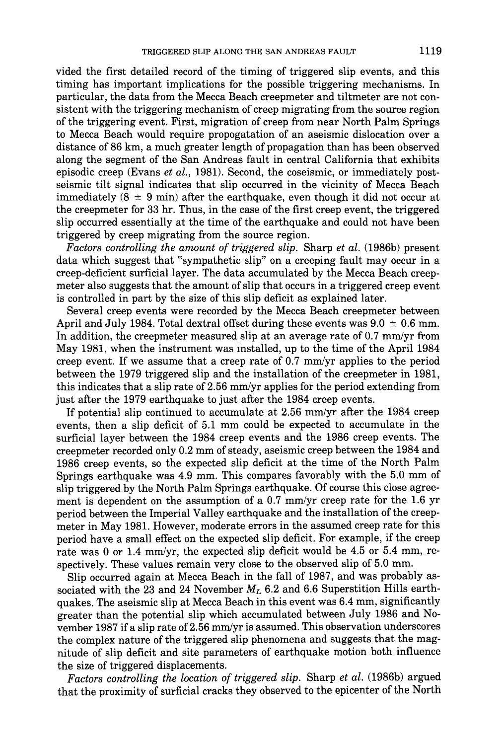vided the first detailed record of the timing of triggered slip events, and this timing has important implications for the possible triggering mechanisms. In particular, the data from the Mecca Beach creepmeter and tiltmeter are not consistent with the triggering mechanism of creep migrating from the source region of the triggering event. First, migration of creep from near North Palm Springs to Mecca Beach would require propogatation of an aseismic dislocation over a distance of 86 km, a much greater length of propagation than has been observed along the segment of the San Andreas fault in central California that exhibits episodic creep (Evans *et al.,* 1981). Second, the coseismic, or immediately postseismic tilt signal indicates that slip occurred in the vicinity of Mecca Beach immediately  $(8 \pm 9 \text{ min})$  after the earthquake, even though it did not occur at the creepmeter for 33 hr. Thus, in the case of the first creep event, the triggered slip occurred essentially at the time of the earthquake and could not have been triggered by creep migrating from the source region.

*Factors controlling the amount of triggered slip.* Sharp *et al.* (1986b) present data which suggest that "sympathetic slip" on a creeping fault may occur in a creep-deficient surficial layer. The data accumulated by the Mecca Beach creepmeter also suggests that the amount of slip that occurs in a triggered creep event is controlled in part by the size of this slip deficit as explained later.

Several creep events were recorded by the Mecca Beach creepmeter between April and July 1984. Total dextral offset during these events was  $9.0 \pm 0.6$  mm. In addition, the creepmeter measured slip at an average rate of 0.7 mm/yr from May 1981, when the instrument was installed, up to the time of the April 1984 creep event. If we assume that a creep rate of 0.7 mm/yr applies to the period between the 1979 triggered slip and the installation of the creepmeter in 1981, this indicates that a slip rate of 2.56 mm/yr applies for the period extending from just after the 1979 earthquake to just after the 1984 creep events.

If potential slip continued to accumulate at 2.56 mm/yr after the 1984 creep events, then a slip deficit of 5.1 mm could be expected to accumulate in the surficial layer between the 1984 creep events and the 1986 creep events. The creepmeter recorded only 0.2 mm of steady, aseismic creep between the 1984 and 1986 creep events, so the expected slip deficit at the time of the North Palm Springs earthquake was 4.9 mm. This compares favorably with the 5.0 mm of slip triggered by the North Palm Springs earthquake. Of course this close agreement is dependent on the assumption of a 0.7 mm/yr creep rate for the 1.6 yr period between the Imperial Valley earthquake and the installation of the creepmeter in May 1981. However, moderate errors in the assumed creep rate for this period have a small effect on the expected slip deficit. For example, if the creep rate was 0 or 1.4 mm/yr, the expected slip deficit would be 4.5 or 5.4 mm, respectively. These values remain very close to the observed slip of 5.0 mm.

Slip occurred again at Mecca Beach in the fall of 1987, and was probably associated with the 23 and 24 November  $M_L$  6.2 and 6.6 Superstition Hills earthquakes. The aseismic slip at Mecca Beach in this event was 6.4 mm, significantly greater than the potential slip which accumulated between July 1986 and November 1987 if a slip rate of 2.56 mm/yr is assumed. This observation underscores the complex nature of the triggered slip phenomena and suggests that the magnitude of slip deficit and site parameters of earthquake motion both influence the size of triggered displacements.

*Factors controlling the location of triggered slip.* Sharp *et al.* (1986b) argued that the proximity of surficial cracks they observed to the epicenter of the North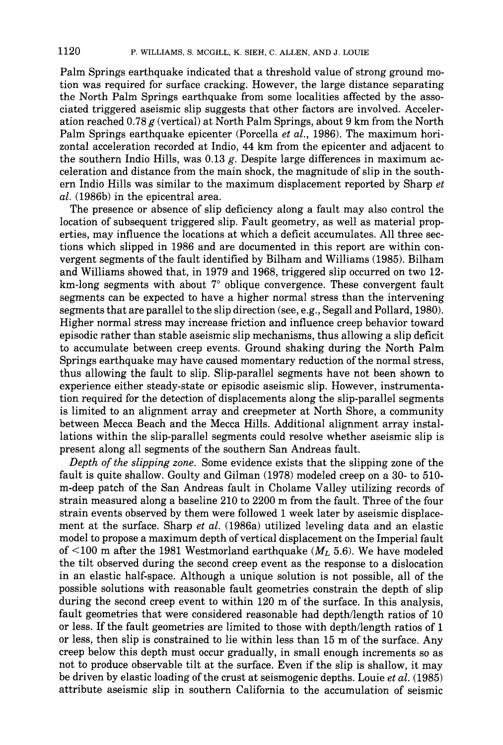Palm Springs earthquake indicated that a threshold value of strong ground motion was required for surface cracking. However, the large distance separating the North Palm Springs earthquake from some localities affected by the associated triggered aseismic slip suggests that other factors are involved. Acceleration reached 0.78  $g$  (vertical) at North Palm Springs, about 9 km from the North Palm Springs earthquake epicenter (Porcella *et al.,* 1986). The maximum horizontal acceleration recorded at Indio, 44 km from the epicenter and adjacent to the southern Indio Hills, was  $0.13$  g. Despite large differences in maximum acceleration and distance from the main shock, the magnitude of slip in the southern Indio Hills was similar to the maximum displacement reported by Sharp *et al.* (1986b) in the epicentral area.

The presence or absence of slip deficiency along a fault may also control the location of subsequent triggered slip. Fault geometry, as well as material properties, may influence the locations at which a deficit accumulates. All three sections which slipped in 1986 and are documented in this report are within convergent segments of the fault identified by Bilham and Williams (1985). Bilham and Williams showed that, in 1979 and 1968, triggered slip occurred on two 12  $km$ -long segments with about  $7^\circ$  oblique convergence. These convergent fault segments can be expected to have a higher normal stress than the intervening segments that are parallel to the slip direction (see, e.g., Segall and Pollard, 1980). Higher normal stress may increase friction and influence creep behavior toward episodic rather than stable aseismic slip mechanisms, thus allowing a slip deficit to accumulate between creep events. Ground shaking during the North Palm Springs earthquake may have caused momentary reduction of the normal stress, thus allowing the fault to slip. Slip-parallel segments have not been shown to experience either steady-state or episodic aseismic slip. However, instrumentation required for the detection of displacements along the slip-parallel segments is limited to an alignment array and creepmeter at North Shore, a community between Mecca Beach and the Mecca Hills. Additional alignment array installations within the slip-parallel segments could resolve whether aseismic slip is present along all segments of the southern San Andreas fault.

*Depth of the slipping zone.* Some evidence exists that the slipping zone of the fault is quite shallow. Goulty and Gilman (1978) modeled creep on a 30- to 510 m-deep patch of the San Andreas fault in Cholame Valley utilizing records of strain measured along a baseline 210 to 2200 m from the fault. Three of the four strain events observed by them were followed 1 week later by aseismic displacement at the surface. Sharp *et al.* (1986a) utilized leveling data and an elastic model to propose a maximum depth of vertical displacement on the Imperial fault of <100 m after the 1981 Westmorland earthquake *(ML* 5.6). We have modeled the tilt observed during the second creep event as the response to a dislocation in an elastic half-space. Although a unique solution is not possible, all of the possible solutions with reasonable fault geometries constrain the depth of slip during the second creep event to within 120 m of the surface. In this analysis, fault geometries that were considered reasonable had depth/length ratios of 10 or less. If the fault geometries are limited to those with depth/length ratios of 1 or less, then slip is constrained to lie within less than 15 m of the surface. Any creep below this depth must occur gradually, in small enough increments so as not to produce observable tilt at the surface. Even if the slip is shallow, it may be driven by elastic loading of the crust at seismogenic depths. Louie *et al.* (1985) attribute aseismic slip in southern California to the accumulation of seismic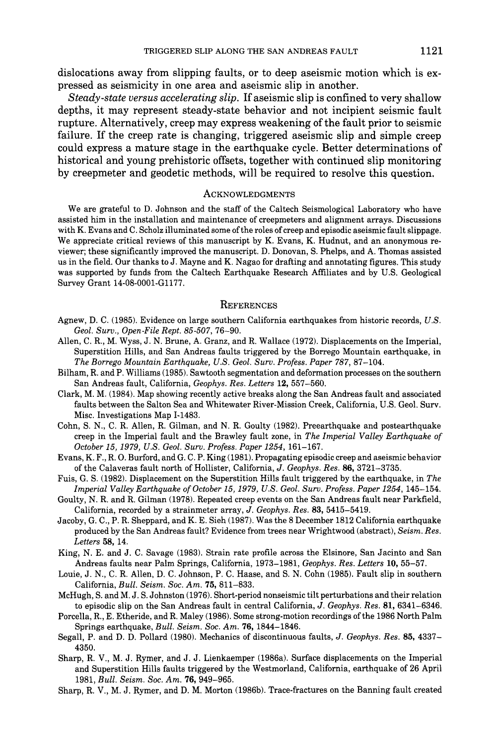dislocations away from slipping faults, or to deep aseismic motion which is expressed as seismicity in one area and aseismic slip in another.

*Steady-state versus accelerating slip.* If aseismic slip is confined to very shallow depths, it may represent steady-state behavior and not incipient seismic fault rupture. Alternatively, creep may express weakening of the fault prior to seismic failure. If the creep rate is changing, triggered aseismic slip and simple creep could express a mature stage in the earthquake cycle. Better determinations of historical and young prehistoric offsets, together with continued slip monitoring by creepmeter and geodetic methods, will be required to resolve this question.

#### **ACKNOWLEDGMENTS**

We are grateful to D. Johnson and the staff of the Caltech Seismological Laboratory who have assisted him in the installation and maintenance of creepmeters and alignment arrays. Discussions with K. Evans and C. Scholz illuminated some of the roles of creep and episodic aseismic fault slippage. We appreciate critical reviews of this manuscript by K. Evans, K. Hudnut, and an anonymous reviewer; these significantly improved the manuscript. D. Donovan, S. Phelps, and A. Thomas assisted us in the field. Our thanks to J. Mayne and K. Nagao for drafting and annotating figures. This study was supported by funds from the Caltech Earthquake Research Affiliates and by U.S. Geological Survey Grant 14-08-0001-Gl177.

#### **REFERENCES**

- Agnew, D. C. (1985). Evidence on large southern California earthquakes from historic records, *U.S. Geol. Surv., Open-File Rept. 85-507,* 76-90.
- Allen, C. R., M. Wyss, J. N. Brune, A. Granz, and R. Wallace (1972). Displacements on the Imperial, Superstition Hills, and San Andreas faults triggered by the Borrego Mountain earthquake, in *The Borrego Mountain Earthquake, U.S. Geol, Surv. Profess. Paper 787,* 87-104.
- Bilham, R. and P. Williams (1985). Sawtooth segmentation and deformation processes on the southern San Andreas fault, California, *Geophys. Res. Letters* 12, 557-560.
- Clark, M. M. (1984). Map showing recently active breaks along the San Andreas fault and associated faults between the Salton Sea and Whitewater River-Mission Creek, California, U.S. Geol. Surv. Misc. Investigations Map 1-1483.
- Cohn, S. N., C. R. Allen, R. Gilman, and N. R. Goulty (1982). Preearthquake and postearthquake creep in the Imperial fault and the Brawley fault zone, in *The Imperial Valley Earthquake of October 15, 1979, U.S. Geol. Surv. Profess. Paper 1254,* 161-167.
- Evans, K. F., R. O. Burford, and G. C. P. King (1981). Propagating episodic creep and aseismic behavior of the Calaveras fault north of Hollister, California, *J. Geophys. Res.* 86, 3721-3735.
- Fuis, G. S. (1982). Displacement on the Superstition Hills fault triggered by the earthquake, in *The Imperial Valley Earthquake of October 15, 1979, U.S. Geol. Surv. Profess. Paper 1254,* 145-154.
- Goulty, N. R. and R. Gilman (1978). Repeated creep events on the San Andreas fault near Parkfield, California, recorded by a strainmeter array, *J. Geophys. Res.* 83, 5415-5419.
- Jacoby, G. C., P. R. Sheppard, and K. E. Sieh (1987). Was the 8 December 1812 California earthquake produced by the San Andreas fault? Evidence from trees near Wrightwood (abstract), *Seism. Res. Letters* 58, 14.
- King, N. E. and J. C. Savage (1983). Strain rate profile across the Elsinore, San Jacinto and San Andreas faults near Palm Springs, California, 1973-1981, *Geophys. Res. Letters* 10, 55-57.
- Louie, J. N., C. R. Allen, D. C. Johnson, P. C. Haase, and S. N. Cohn (1985). Fault slip in southern California, *Bull. Seism. Soc. Am.* 75, 811-833.
- McHugh, S. and M. J. S. Johnston (1976). Short-period nonseismic tilt perturbations and their relation to episodic slip on the San Andreas fault in central California, *J. Geophys. Res.* 81, 6341-6346.
- Porcella, R., E. Etheride, and R. Maley (1986). Some strong-motion recordings of the 1986 North Palm Springs earthquake, *Bull. Seism. Soc. Am.* 76, 1844-1846.
- Segall, P. and D. D. Pollard (1980). Mechanics of discontinuous faults, *J. Geophys. Res.* 85, 4337- 4350.
- Sharp, R. V., M. J. Rymer, and J. J. Lienkaemper (1986a). Surface displacements on the Imperial and Superstition Hills faults triggered by the Westmorland, California, earthquake of 26 April 1981, *Bull. Seism. Soc. Am.* 76, 949-965.
- Sharp, R. V., M. J. Rymer, and D. M. Morton (1986b). Trace-fractures on the Banning fault created